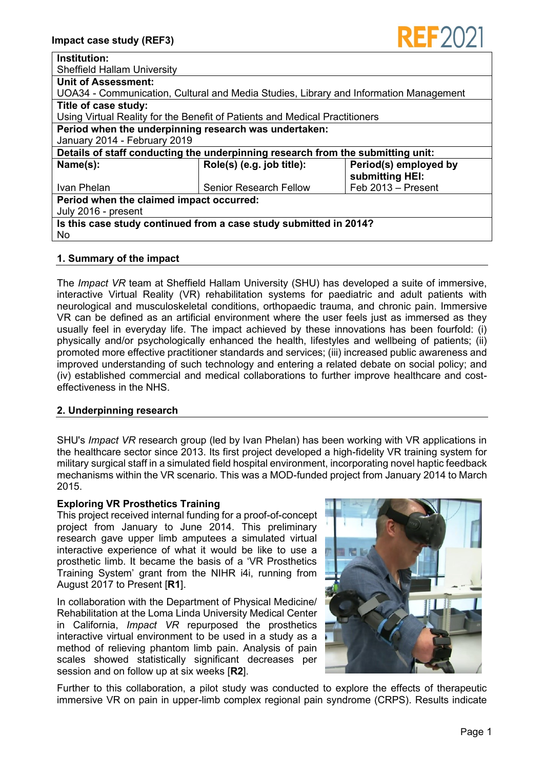| Institution:                                                                          |                               |                                          |
|---------------------------------------------------------------------------------------|-------------------------------|------------------------------------------|
| <b>Sheffield Hallam University</b>                                                    |                               |                                          |
| <b>Unit of Assessment:</b>                                                            |                               |                                          |
| UOA34 - Communication, Cultural and Media Studies, Library and Information Management |                               |                                          |
| Title of case study:                                                                  |                               |                                          |
| Using Virtual Reality for the Benefit of Patients and Medical Practitioners           |                               |                                          |
| Period when the underpinning research was undertaken:                                 |                               |                                          |
| January 2014 - February 2019                                                          |                               |                                          |
| Details of staff conducting the underpinning research from the submitting unit:       |                               |                                          |
| Name(s):                                                                              | Role(s) (e.g. job title):     | Period(s) employed by<br>submitting HEI: |
| Ivan Phelan                                                                           | <b>Senior Research Fellow</b> | Feb 2013 - Present                       |
| Period when the claimed impact occurred:                                              |                               |                                          |
| July 2016 - present                                                                   |                               |                                          |
| Is this case study continued from a case study submitted in 2014?                     |                               |                                          |
| <b>No</b>                                                                             |                               |                                          |

#### **1. Summary of the impact**

The *Impact VR* team at Sheffield Hallam University (SHU) has developed a suite of immersive, interactive Virtual Reality (VR) rehabilitation systems for paediatric and adult patients with neurological and musculoskeletal conditions, orthopaedic trauma, and chronic pain. Immersive VR can be defined as an artificial environment where the user feels just as immersed as they usually feel in everyday life. The impact achieved by these innovations has been fourfold: (i) physically and/or psychologically enhanced the health, lifestyles and wellbeing of patients; (ii) promoted more effective practitioner standards and services; (iii) increased public awareness and improved understanding of such technology and entering a related debate on social policy; and (iv) established commercial and medical collaborations to further improve healthcare and costeffectiveness in the NHS.

#### **2. Underpinning research**

SHU's *Impact VR* research group (led by Ivan Phelan) has been working with VR applications in the healthcare sector since 2013. Its first project developed a high-fidelity VR training system for military surgical staff in a simulated field hospital environment, incorporating novel haptic feedback mechanisms within the VR scenario. This was a MOD-funded project from January 2014 to March 2015.

# **Exploring VR Prosthetics Training**

This project received internal funding for a proof-of-concept project from January to June 2014. This preliminary research gave upper limb amputees a simulated virtual interactive experience of what it would be like to use a prosthetic limb. It became the basis of a 'VR Prosthetics Training System' grant from the NIHR i4i, running from August 2017 to Present [**R1**].

In collaboration with the Department of Physical Medicine/ Rehabilitation at the Loma Linda University Medical Center in California, *Impact VR* repurposed the prosthetics interactive virtual environment to be used in a study as a method of relieving phantom limb pain. Analysis of pain scales showed statistically significant decreases per session and on follow up at six weeks [**R2**].



**REF202** 

Further to this collaboration, a pilot study was conducted to explore the effects of therapeutic immersive VR on pain in upper-limb complex regional pain syndrome (CRPS). Results indicate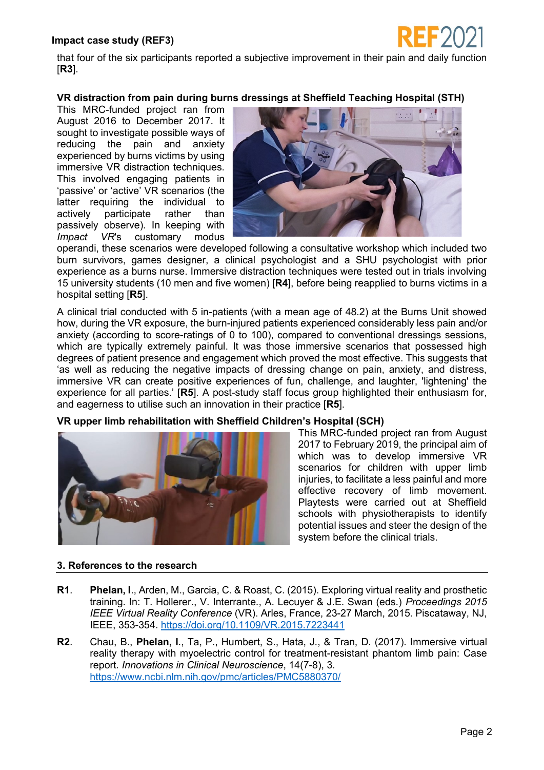

that four of the six participants reported a subjective improvement in their pain and daily function [**R3**].

### **VR distraction from pain during burns dressings at Sheffield Teaching Hospital (STH)**

This MRC-funded project ran from August 2016 to December 2017. It sought to investigate possible ways of reducing the pain and anxiety experienced by burns victims by using immersive VR distraction techniques. This involved engaging patients in 'passive' or 'active' VR scenarios (the latter requiring the individual to actively participate rather than passively observe). In keeping with *Impact VR*'s customary modus



operandi, these scenarios were developed following a consultative workshop which included two burn survivors, games designer, a clinical psychologist and a SHU psychologist with prior experience as a burns nurse. Immersive distraction techniques were tested out in trials involving 15 university students (10 men and five women) [**R4**], before being reapplied to burns victims in a hospital setting [**R5**].

A clinical trial conducted with 5 in-patients (with a mean age of 48.2) at the Burns Unit showed how, during the VR exposure, the burn-injured patients experienced considerably less pain and/or anxiety (according to score-ratings of 0 to 100), compared to conventional dressings sessions, which are typically extremely painful. It was those immersive scenarios that possessed high degrees of patient presence and engagement which proved the most effective. This suggests that 'as well as reducing the negative impacts of dressing change on pain, anxiety, and distress, immersive VR can create positive experiences of fun, challenge, and laughter, 'lightening' the experience for all parties.' [**R5**]. A post-study staff focus group highlighted their enthusiasm for, and eagerness to utilise such an innovation in their practice [**R5**].

# **VR upper limb rehabilitation with Sheffield Children's Hospital (SCH)**



This MRC-funded project ran from August 2017 to February 2019, the principal aim of which was to develop immersive VR scenarios for children with upper limb injuries, to facilitate a less painful and more effective recovery of limb movement. Playtests were carried out at Sheffield schools with physiotherapists to identify potential issues and steer the design of the system before the clinical trials.

# **3. References to the research**

- **R1**. **Phelan, I**., Arden, M., Garcia, C. & Roast, C. (2015). Exploring virtual reality and prosthetic training. In: T. Hollerer., V. Interrante., A. Lecuyer & J.E. Swan (eds.) *Proceedings 2015 IEEE Virtual Reality Conference* (VR). Arles, France, 23-27 March, 2015. Piscataway, NJ, IEEE, 353-354.<https://doi.org/10.1109/VR.2015.7223441>
- **R2**. Chau, B., **Phelan, I**., Ta, P., Humbert, S., Hata, J., & Tran, D. (2017). Immersive virtual reality therapy with myoelectric control for treatment-resistant phantom limb pain: Case report*. Innovations in Clinical Neuroscience*, 14(7-8), 3. <https://www.ncbi.nlm.nih.gov/pmc/articles/PMC5880370/>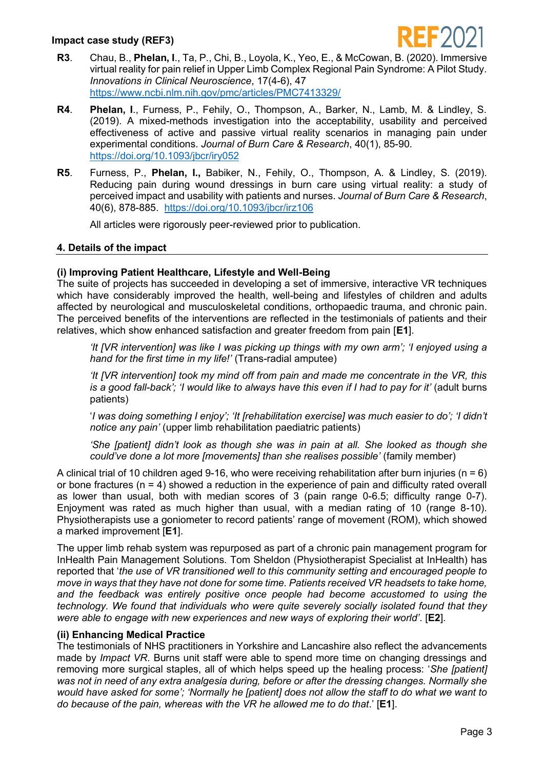

- **R3**. Chau, B., **Phelan, I**., Ta, P., Chi, B., Loyola, K., Yeo, E., & McCowan, B. (2020). Immersive virtual reality for pain relief in Upper Limb Complex Regional Pain Syndrome: A Pilot Study. *Innovations in Clinical Neuroscience*, 17(4-6), 47 <https://www.ncbi.nlm.nih.gov/pmc/articles/PMC7413329/>
- **R4**. **Phelan, I**., Furness, P., Fehily, O., Thompson, A., Barker, N., Lamb, M. & Lindley, S. (2019). A mixed-methods investigation into the acceptability, usability and perceived effectiveness of active and passive virtual reality scenarios in managing pain under experimental conditions. *Journal of Burn Care & Research*, 40(1), 85-90. <https://doi.org/10.1093/jbcr/iry052>
- **R5**. Furness, P., **Phelan, I.,** Babiker, N., Fehily, O., Thompson, A. & Lindley, S. (2019). Reducing pain during wound dressings in burn care using virtual reality: a study of perceived impact and usability with patients and nurses. *Journal of Burn Care & Research*, 40(6), 878-885. <https://doi.org/10.1093/jbcr/irz106>

All articles were rigorously peer-reviewed prior to publication.

#### **4. Details of the impact**

# **(i) Improving Patient Healthcare, Lifestyle and Well-Being**

The suite of projects has succeeded in developing a set of immersive, interactive VR techniques which have considerably improved the health, well-being and lifestyles of children and adults affected by neurological and musculoskeletal conditions, orthopaedic trauma, and chronic pain. The perceived benefits of the interventions are reflected in the testimonials of patients and their relatives, which show enhanced satisfaction and greater freedom from pain [**E1**].

*'It [VR intervention] was like I was picking up things with my own arm'; 'I enjoyed using a hand for the first time in my life!'* (Trans-radial amputee)

*'It [VR intervention] took my mind off from pain and made me concentrate in the VR, this is a good fall-back'; 'I would like to always have this even if I had to pay for it'* (adult burns patients)

'*I was doing something I enjoy'; 'It [rehabilitation exercise] was much easier to do'; 'I didn't notice any pain'* (upper limb rehabilitation paediatric patients)

*'She [patient] didn't look as though she was in pain at all. She looked as though she could've done a lot more [movements] than she realises possible'* (family member)

A clinical trial of 10 children aged 9-16, who were receiving rehabilitation after burn injuries (n = 6) or bone fractures ( $n = 4$ ) showed a reduction in the experience of pain and difficulty rated overall as lower than usual, both with median scores of 3 (pain range 0-6.5; difficulty range 0-7). Enjoyment was rated as much higher than usual, with a median rating of 10 (range 8-10). Physiotherapists use a goniometer to record patients' range of movement (ROM), which showed a marked improvement [**E1**].

The upper limb rehab system was repurposed as part of a chronic pain management program for InHealth Pain Management Solutions. Tom Sheldon (Physiotherapist Specialist at InHealth) has reported that '*the use of VR transitioned well to this community setting and encouraged people to move in ways that they have not done for some time. Patients received VR headsets to take home, and the feedback was entirely positive once people had become accustomed to using the technology. We found that individuals who were quite severely socially isolated found that they were able to engage with new experiences and new ways of exploring their world'*. [**E2**].

# **(ii) Enhancing Medical Practice**

The testimonials of NHS practitioners in Yorkshire and Lancashire also reflect the advancements made by *Impact VR*. Burns unit staff were able to spend more time on changing dressings and removing more surgical staples, all of which helps speed up the healing process: '*She [patient] was not in need of any extra analgesia during, before or after the dressing changes. Normally she would have asked for some'; 'Normally he [patient] does not allow the staff to do what we want to do because of the pain, whereas with the VR he allowed me to do that*.' [**E1**].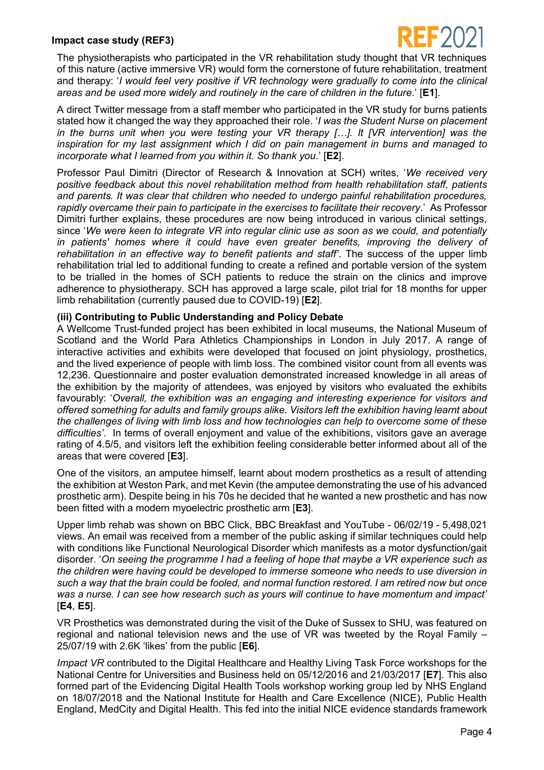The physiotherapists who participated in the VR rehabilitation study thought that VR techniques of this nature (active immersive VR) would form the cornerstone of future rehabilitation, treatment and therapy: '*I would feel very positive if VR technology were gradually to come into the clinical areas and be used more widely and routinely in the care of children in the future*.' [**E1**].

A direct Twitter message from a staff member who participated in the VR study for burns patients stated how it changed the way they approached their role. '*I was the Student Nurse on placement in the burns unit when you were testing your VR therapy […]. It [VR intervention] was the inspiration for my last assignment which I did on pain management in burns and managed to incorporate what I learned from you within it. So thank you*.' [**E2**].

Professor Paul Dimitri (Director of Research & Innovation at SCH) writes, '*We received very positive feedback about this novel rehabilitation method from health rehabilitation staff, patients and parents. It was clear that children who needed to undergo painful rehabilitation procedures, rapidly overcame their pain to participate in the exercises to facilitate their recovery*.' As Professor Dimitri further explains, these procedures are now being introduced in various clinical settings, since '*We were keen to integrate VR into regular clinic use as soon as we could, and potentially*  in patients' homes where it could have even greater benefits, improving the delivery of *rehabilitation in an effective way to benefit patients and staff'*. The success of the upper limb rehabilitation trial led to additional funding to create a refined and portable version of the system to be trialled in the homes of SCH patients to reduce the strain on the clinics and improve adherence to physiotherapy. SCH has approved a large scale, pilot trial for 18 months for upper limb rehabilitation (currently paused due to COVID-19) [**E2**].

# **(iii) Contributing to Public Understanding and Policy Debate**

A Wellcome Trust-funded project has been exhibited in local museums, the National Museum of Scotland and the World Para Athletics Championships in London in July 2017. A range of interactive activities and exhibits were developed that focused on joint physiology, prosthetics, and the lived experience of people with limb loss. The combined visitor count from all events was 12,236. Questionnaire and poster evaluation demonstrated increased knowledge in all areas of the exhibition by the majority of attendees, was enjoyed by visitors who evaluated the exhibits favourably: '*Overall, the exhibition was an engaging and interesting experience for visitors and offered something for adults and family groups alike. Visitors left the exhibition having learnt about the challenges of living with limb loss and how technologies can help to overcome some of these difficulties'*. In terms of overall enjoyment and value of the exhibitions, visitors gave an average rating of 4.5/5, and visitors left the exhibition feeling considerable better informed about all of the areas that were covered [**E3**].

One of the visitors, an amputee himself, learnt about modern prosthetics as a result of attending the exhibition at Weston Park, and met Kevin (the amputee demonstrating the use of his advanced prosthetic arm). Despite being in his 70s he decided that he wanted a new prosthetic and has now been fitted with a modern myoelectric prosthetic arm [**E3**].

Upper limb rehab was shown on BBC Click, BBC Breakfast and YouTube - 06/02/19 - 5,498,021 views. An email was received from a member of the public asking if similar techniques could help with conditions like Functional Neurological Disorder which manifests as a motor dysfunction/gait disorder. '*On seeing the programme I had a feeling of hope that maybe a VR experience such as the children were having could be developed to immerse someone who needs to use diversion in such a way that the brain could be fooled, and normal function restored. I am retired now but once was a nurse. I can see how research such as yours will continue to have momentum and impact'* [**E4**, **E5**].

VR Prosthetics was demonstrated during the visit of the Duke of Sussex to SHU, was featured on regional and national television news and the use of VR was tweeted by the Royal Family – 25/07/19 with 2.6K 'likes' from the public [**E6**].

*Impact VR* contributed to the Digital Healthcare and Healthy Living Task Force workshops for the National Centre for Universities and Business held on 05/12/2016 and 21/03/2017 [**E7**]. This also formed part of the Evidencing Digital Health Tools workshop working group led by NHS England on 18/07/2018 and the National Institute for Health and Care Excellence (NICE), Public Health England, MedCity and Digital Health. This fed into the initial NICE evidence standards framework